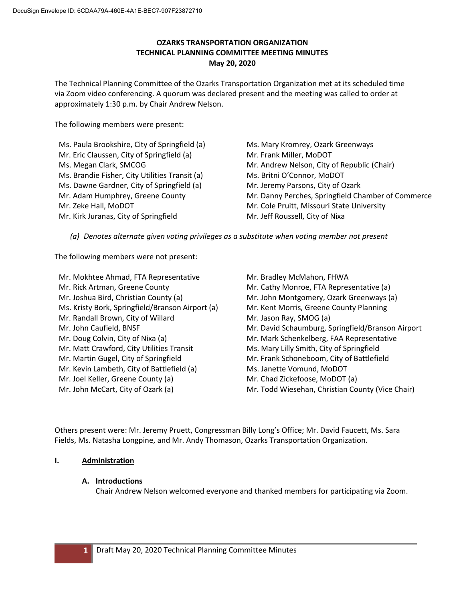# **OZARKS TRANSPORTATION ORGANIZATION TECHNICAL PLANNING COMMITTEE MEETING MINUTES May 20, 2020**

The Technical Planning Committee of the Ozarks Transportation Organization met at its scheduled time via Zoom video conferencing. A quorum was declared present and the meeting was called to order at approximately 1:30 p.m. by Chair Andrew Nelson.

The following members were present:

Ms. Paula Brookshire, City of Springfield (a) Mr. Eric Claussen, City of Springfield (a) Ms. Megan Clark, SMCOG Ms. Brandie Fisher, City Utilities Transit (a) Ms. Dawne Gardner, City of Springfield (a) Mr. Adam Humphrey, Greene County Mr. Zeke Hall, MoDOT Mr. Kirk Juranas, City of Springfield

Ms. Mary Kromrey, Ozark Greenways Mr. Frank Miller, MoDOT Mr. Andrew Nelson, City of Republic (Chair) Ms. Britni O'Connor, MoDOT Mr. Jeremy Parsons, City of Ozark Mr. Danny Perches, Springfield Chamber of Commerce Mr. Cole Pruitt, Missouri State University Mr. Jeff Roussell, City of Nixa

*(a) Denotes alternate given voting privileges as a substitute when voting member not present*

The following members were not present:

Mr. Mokhtee Ahmad, FTA Representative Mr. Rick Artman, Greene County Mr. Joshua Bird, Christian County (a) Ms. Kristy Bork, Springfield/Branson Airport (a) Mr. Randall Brown, City of Willard Mr. John Caufield, BNSF Mr. Doug Colvin, City of Nixa (a) Mr. Matt Crawford, City Utilities Transit Mr. Martin Gugel, City of Springfield Mr. Kevin Lambeth, City of Battlefield (a) Mr. Joel Keller, Greene County (a) Mr. John McCart, City of Ozark (a)

Mr. Bradley McMahon, FHWA Mr. Cathy Monroe, FTA Representative (a) Mr. John Montgomery, Ozark Greenways (a) Mr. Kent Morris, Greene County Planning Mr. Jason Ray, SMOG (a) Mr. David Schaumburg, Springfield/Branson Airport Mr. Mark Schenkelberg, FAA Representative Ms. Mary Lilly Smith, City of Springfield Mr. Frank Schoneboom, City of Battlefield Ms. Janette Vomund, MoDOT Mr. Chad Zickefoose, MoDOT (a) Mr. Todd Wiesehan, Christian County (Vice Chair)

Others present were: Mr. Jeremy Pruett, Congressman Billy Long's Office; Mr. David Faucett, Ms. Sara Fields, Ms. Natasha Longpine, and Mr. Andy Thomason, Ozarks Transportation Organization.

## **I. Administration**

## **A. Introductions**

Chair Andrew Nelson welcomed everyone and thanked members for participating via Zoom.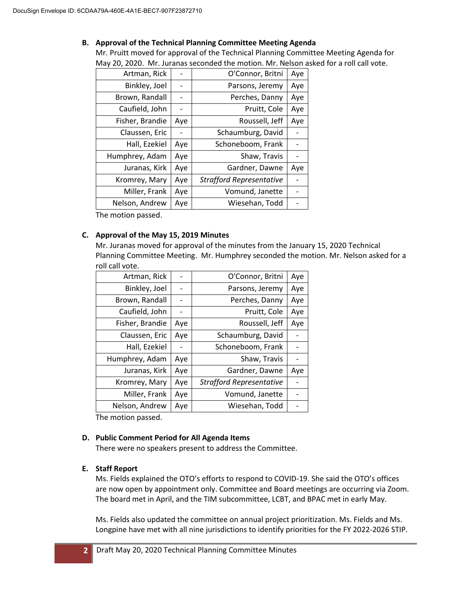## **B. Approval of the Technical Planning Committee Meeting Agenda**

Mr. Pruitt moved for approval of the Technical Planning Committee Meeting Agenda for May 20, 2020. Mr. Juranas seconded the motion. Mr. Nelson asked for a roll call vote.

| Artman, Rick    |     | O'Connor, Britni                | Aye |
|-----------------|-----|---------------------------------|-----|
| Binkley, Joel   |     | Parsons, Jeremy                 | Aye |
| Brown, Randall  |     | Perches, Danny                  | Aye |
| Caufield, John  |     | Pruitt, Cole                    | Aye |
| Fisher, Brandie | Aye | Roussell, Jeff                  | Aye |
| Claussen, Eric  |     | Schaumburg, David               |     |
| Hall, Ezekiel   | Aye | Schoneboom, Frank               |     |
| Humphrey, Adam  | Aye | Shaw, Travis                    |     |
| Juranas, Kirk   | Aye | Gardner, Dawne                  | Aye |
| Kromrey, Mary   | Aye | <b>Strafford Representative</b> |     |
| Miller, Frank   | Aye | Vomund, Janette                 |     |
| Nelson, Andrew  | Aye | Wiesehan, Todd                  |     |

The motion passed.

# **C. Approval of the May 15, 2019 Minutes**

Mr. Juranas moved for approval of the minutes from the January 15, 2020 Technical Planning Committee Meeting. Mr. Humphrey seconded the motion. Mr. Nelson asked for a roll call vote.

| Artman, Rick    |     | O'Connor, Britni                | Aye |
|-----------------|-----|---------------------------------|-----|
| Binkley, Joel   |     | Parsons, Jeremy                 | Aye |
| Brown, Randall  | -   | Perches, Danny                  | Aye |
| Caufield, John  |     | Pruitt, Cole                    | Aye |
| Fisher, Brandie | Aye | Roussell, Jeff                  | Aye |
| Claussen, Eric  | Aye | Schaumburg, David               |     |
| Hall, Ezekiel   |     | Schoneboom, Frank               |     |
| Humphrey, Adam  | Aye | Shaw, Travis                    |     |
| Juranas, Kirk   | Aye | Gardner, Dawne                  | Aye |
| Kromrey, Mary   | Aye | <b>Strafford Representative</b> |     |
| Miller, Frank   | Aye | Vomund, Janette                 |     |
| Nelson, Andrew  | Aye | Wiesehan, Todd                  |     |

The motion passed.

## **D. Public Comment Period for All Agenda Items**

There were no speakers present to address the Committee.

# **E. Staff Report**

Ms. Fields explained the OTO's efforts to respond to COVID-19. She said the OTO's offices are now open by appointment only. Committee and Board meetings are occurring via Zoom. The board met in April, and the TIM subcommittee, LCBT, and BPAC met in early May.

Ms. Fields also updated the committee on annual project prioritization. Ms. Fields and Ms. Longpine have met with all nine jurisdictions to identify priorities for the FY 2022-2026 STIP.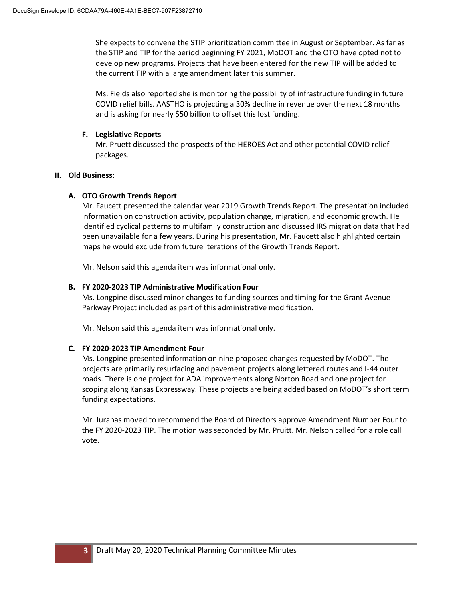She expects to convene the STIP prioritization committee in August or September. As far as the STIP and TIP for the period beginning FY 2021, MoDOT and the OTO have opted not to develop new programs. Projects that have been entered for the new TIP will be added to the current TIP with a large amendment later this summer.

Ms. Fields also reported she is monitoring the possibility of infrastructure funding in future COVID relief bills. AASTHO is projecting a 30% decline in revenue over the next 18 months and is asking for nearly \$50 billion to offset this lost funding.

## **F. Legislative Reports**

Mr. Pruett discussed the prospects of the HEROES Act and other potential COVID relief packages.

#### **II. Old Business:**

## **A. OTO Growth Trends Report**

Mr. Faucett presented the calendar year 2019 Growth Trends Report. The presentation included information on construction activity, population change, migration, and economic growth. He identified cyclical patterns to multifamily construction and discussed IRS migration data that had been unavailable for a few years. During his presentation, Mr. Faucett also highlighted certain maps he would exclude from future iterations of the Growth Trends Report.

Mr. Nelson said this agenda item was informational only.

## **B. FY 2020-2023 TIP Administrative Modification Four**

Ms. Longpine discussed minor changes to funding sources and timing for the Grant Avenue Parkway Project included as part of this administrative modification.

Mr. Nelson said this agenda item was informational only.

## **C. FY 2020-2023 TIP Amendment Four**

Ms. Longpine presented information on nine proposed changes requested by MoDOT. The projects are primarily resurfacing and pavement projects along lettered routes and I-44 outer roads. There is one project for ADA improvements along Norton Road and one project for scoping along Kansas Expressway. These projects are being added based on MoDOT's short term funding expectations.

Mr. Juranas moved to recommend the Board of Directors approve Amendment Number Four to the FY 2020-2023 TIP. The motion was seconded by Mr. Pruitt. Mr. Nelson called for a role call vote.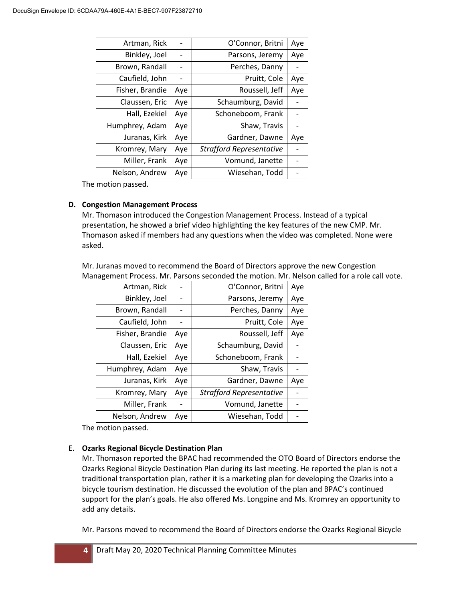| Artman, Rick    |     | O'Connor, Britni                | Aye |
|-----------------|-----|---------------------------------|-----|
| Binkley, Joel   |     | Parsons, Jeremy                 | Aye |
| Brown, Randall  |     | Perches, Danny                  |     |
| Caufield, John  |     | Pruitt, Cole                    | Aye |
| Fisher, Brandie | Aye | Roussell, Jeff                  | Aye |
| Claussen, Eric  | Aye | Schaumburg, David               |     |
| Hall, Ezekiel   | Aye | Schoneboom, Frank               |     |
| Humphrey, Adam  | Aye | Shaw, Travis                    |     |
| Juranas, Kirk   | Aye | Gardner, Dawne                  | Aye |
| Kromrey, Mary   | Aye | <b>Strafford Representative</b> |     |
| Miller, Frank   | Aye | Vomund, Janette                 |     |
| Nelson, Andrew  | Aye | Wiesehan, Todd                  |     |

The motion passed.

## **D. Congestion Management Process**

Mr. Thomason introduced the Congestion Management Process. Instead of a typical presentation, he showed a brief video highlighting the key features of the new CMP. Mr. Thomason asked if members had any questions when the video was completed. None were asked.

Mr. Juranas moved to recommend the Board of Directors approve the new Congestion Management Process. Mr. Parsons seconded the motion. Mr. Nelson called for a role call vote.

| Artman, Rick    |     | O'Connor, Britni                | Aye |
|-----------------|-----|---------------------------------|-----|
| Binkley, Joel   |     | Parsons, Jeremy                 | Aye |
| Brown, Randall  |     | Perches, Danny                  | Aye |
| Caufield, John  |     | Pruitt, Cole                    | Aye |
| Fisher, Brandie | Aye | Roussell, Jeff                  | Aye |
| Claussen, Eric  | Aye | Schaumburg, David               |     |
| Hall, Ezekiel   | Aye | Schoneboom, Frank               |     |
| Humphrey, Adam  | Aye | Shaw, Travis                    |     |
| Juranas, Kirk   | Aye | Gardner, Dawne                  | Aye |
| Kromrey, Mary   | Aye | <b>Strafford Representative</b> |     |
| Miller, Frank   |     | Vomund, Janette                 |     |
| Nelson, Andrew  | Aye | Wiesehan, Todd                  |     |

The motion passed.

## E. **Ozarks Regional Bicycle Destination Plan**

Mr. Thomason reported the BPAC had recommended the OTO Board of Directors endorse the Ozarks Regional Bicycle Destination Plan during its last meeting. He reported the plan is not a traditional transportation plan, rather it is a marketing plan for developing the Ozarks into a bicycle tourism destination. He discussed the evolution of the plan and BPAC's continued support for the plan's goals. He also offered Ms. Longpine and Ms. Kromrey an opportunity to add any details.

Mr. Parsons moved to recommend the Board of Directors endorse the Ozarks Regional Bicycle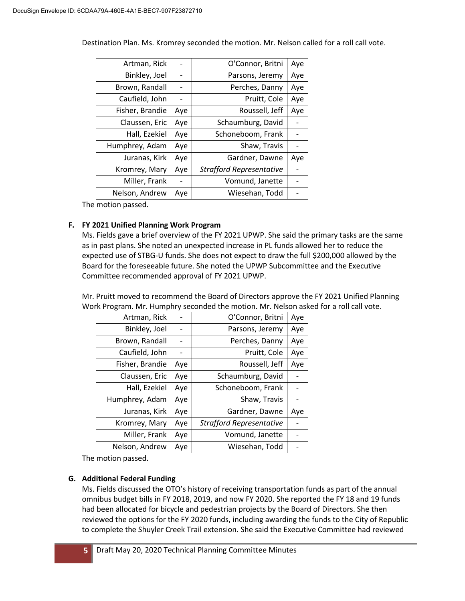| Artman, Rick    |     | O'Connor, Britni                | Aye |
|-----------------|-----|---------------------------------|-----|
| Binkley, Joel   | -   | Parsons, Jeremy                 | Aye |
| Brown, Randall  |     | Perches, Danny                  | Aye |
| Caufield, John  |     | Pruitt, Cole                    | Aye |
| Fisher, Brandie | Aye | Roussell, Jeff                  | Aye |
| Claussen, Eric  | Aye | Schaumburg, David               |     |
| Hall, Ezekiel   | Aye | Schoneboom, Frank               |     |
| Humphrey, Adam  | Aye | Shaw, Travis                    |     |
| Juranas, Kirk   | Aye | Gardner, Dawne                  | Aye |
| Kromrey, Mary   | Aye | <b>Strafford Representative</b> |     |
| Miller, Frank   |     | Vomund, Janette                 |     |
| Nelson, Andrew  | Aye | Wiesehan, Todd                  |     |

Destination Plan. Ms. Kromrey seconded the motion. Mr. Nelson called for a roll call vote.

The motion passed.

## **F. FY 2021 Unified Planning Work Program**

Ms. Fields gave a brief overview of the FY 2021 UPWP. She said the primary tasks are the same as in past plans. She noted an unexpected increase in PL funds allowed her to reduce the expected use of STBG-U funds. She does not expect to draw the full \$200,000 allowed by the Board for the foreseeable future. She noted the UPWP Subcommittee and the Executive Committee recommended approval of FY 2021 UPWP.

Mr. Pruitt moved to recommend the Board of Directors approve the FY 2021 Unified Planning Work Program. Mr. Humphry seconded the motion. Mr. Nelson asked for a roll call vote.

| Artman, Rick    |     | O'Connor, Britni                | Aye |
|-----------------|-----|---------------------------------|-----|
| Binkley, Joel   |     | Parsons, Jeremy                 | Aye |
| Brown, Randall  |     | Perches, Danny                  | Aye |
| Caufield, John  |     | Pruitt, Cole                    | Aye |
| Fisher, Brandie | Aye | Roussell, Jeff                  | Aye |
| Claussen, Eric  | Aye | Schaumburg, David               |     |
| Hall, Ezekiel   | Aye | Schoneboom, Frank               |     |
| Humphrey, Adam  | Aye | Shaw, Travis                    |     |
| Juranas, Kirk   | Aye | Gardner, Dawne                  | Aye |
| Kromrey, Mary   | Aye | <b>Strafford Representative</b> |     |
| Miller, Frank   | Aye | Vomund, Janette                 |     |
| Nelson, Andrew  | Aye | Wiesehan, Todd                  |     |

The motion passed.

#### **G. Additional Federal Funding**

Ms. Fields discussed the OTO's history of receiving transportation funds as part of the annual omnibus budget bills in FY 2018, 2019, and now FY 2020. She reported the FY 18 and 19 funds had been allocated for bicycle and pedestrian projects by the Board of Directors. She then reviewed the options for the FY 2020 funds, including awarding the funds to the City of Republic to complete the Shuyler Creek Trail extension. She said the Executive Committee had reviewed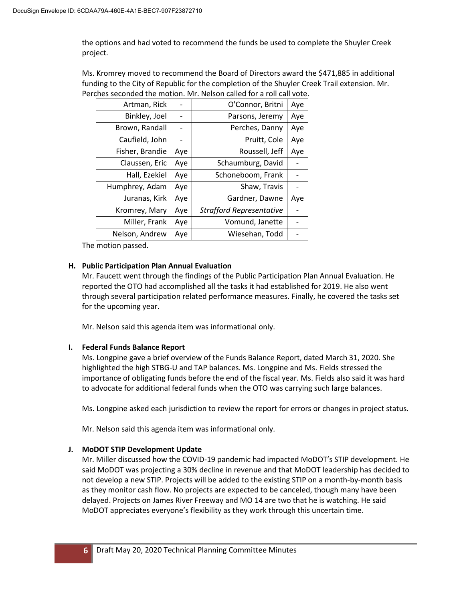the options and had voted to recommend the funds be used to complete the Shuyler Creek project.

Ms. Kromrey moved to recommend the Board of Directors award the \$471,885 in additional funding to the City of Republic for the completion of the Shuyler Creek Trail extension. Mr. Perches seconded the motion. Mr. Nelson called for a roll call vote.

| Artman, Rick    |     | O'Connor, Britni                | Aye |
|-----------------|-----|---------------------------------|-----|
| Binkley, Joel   |     | Parsons, Jeremy                 | Aye |
| Brown, Randall  |     | Perches, Danny                  | Aye |
| Caufield, John  |     | Pruitt, Cole                    | Aye |
| Fisher, Brandie | Aye | Roussell, Jeff                  | Aye |
| Claussen, Eric  | Aye | Schaumburg, David               |     |
| Hall, Ezekiel   | Aye | Schoneboom, Frank               |     |
| Humphrey, Adam  | Aye | Shaw, Travis                    |     |
| Juranas, Kirk   | Aye | Gardner, Dawne                  | Aye |
| Kromrey, Mary   | Aye | <b>Strafford Representative</b> |     |
| Miller, Frank   | Aye | Vomund, Janette                 |     |
| Nelson, Andrew  | Aye | Wiesehan, Todd                  |     |

The motion passed.

## **H. Public Participation Plan Annual Evaluation**

Mr. Faucett went through the findings of the Public Participation Plan Annual Evaluation. He reported the OTO had accomplished all the tasks it had established for 2019. He also went through several participation related performance measures. Finally, he covered the tasks set for the upcoming year.

Mr. Nelson said this agenda item was informational only.

## **I. Federal Funds Balance Report**

Ms. Longpine gave a brief overview of the Funds Balance Report, dated March 31, 2020. She highlighted the high STBG-U and TAP balances. Ms. Longpine and Ms. Fields stressed the importance of obligating funds before the end of the fiscal year. Ms. Fields also said it was hard to advocate for additional federal funds when the OTO was carrying such large balances.

Ms. Longpine asked each jurisdiction to review the report for errors or changes in project status.

Mr. Nelson said this agenda item was informational only.

## **J. MoDOT STIP Development Update**

Mr. Miller discussed how the COVID-19 pandemic had impacted MoDOT's STIP development. He said MoDOT was projecting a 30% decline in revenue and that MoDOT leadership has decided to not develop a new STIP. Projects will be added to the existing STIP on a month-by-month basis as they monitor cash flow. No projects are expected to be canceled, though many have been delayed. Projects on James River Freeway and MO 14 are two that he is watching. He said MoDOT appreciates everyone's flexibility as they work through this uncertain time.